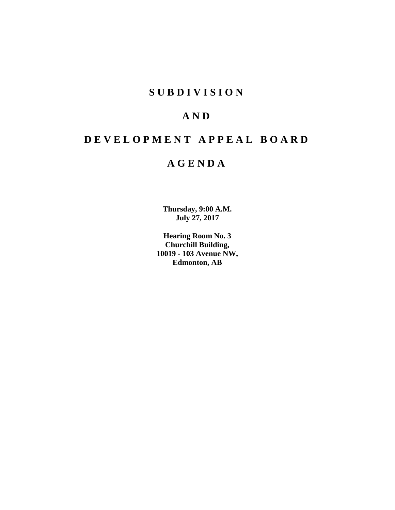## **SUBDIVISION**

## **AND**

# **DEVELOPMENT APPEAL BOARD**

## **AGENDA**

**Thursday, 9:00 A.M. July 27, 2017**

**Hearing Room No. 3 Churchill Building, 10019 - 103 Avenue NW, Edmonton, AB**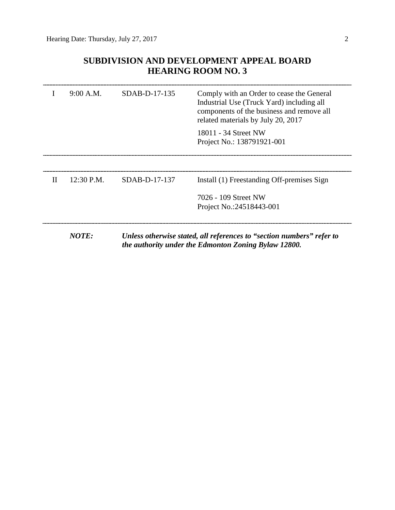## **SUBDIVISION AND DEVELOPMENT APPEAL BOARD HEARING ROOM NO. 3**

|              | 9:00 A.M.     | $SDAB-D-17-135$ | Comply with an Order to cease the General<br>Industrial Use (Truck Yard) including all<br>components of the business and remove all<br>related materials by July 20, 2017<br>18011 - 34 Street NW<br>Project No.: 138791921-001 |
|--------------|---------------|-----------------|---------------------------------------------------------------------------------------------------------------------------------------------------------------------------------------------------------------------------------|
| $\mathbf{H}$ | $12:30$ P.M.  | SDAB-D-17-137   | Install (1) Freestanding Off-premises Sign<br>7026 - 109 Street NW                                                                                                                                                              |
|              |               |                 | Project No.:24518443-001                                                                                                                                                                                                        |
|              | <i>NOTE</i> • |                 | Ilpless otherwise stated all references to "section numbers" refer to                                                                                                                                                           |

*NOTE: Unless otherwise stated, all references to "section numbers" refer to the authority under the Edmonton Zoning Bylaw 12800.*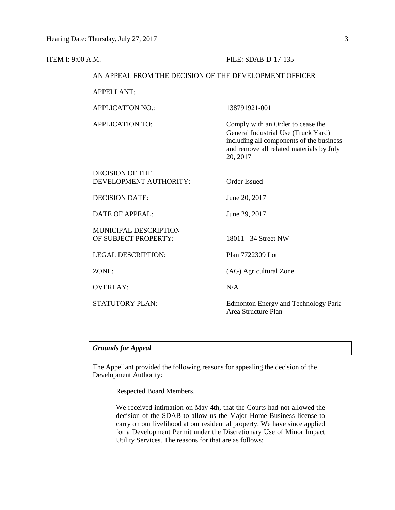| ITEM I: 9:00 A.M. |                                                        | FILE: SDAB-D-17-135                                                                                                                                                          |  |  |
|-------------------|--------------------------------------------------------|------------------------------------------------------------------------------------------------------------------------------------------------------------------------------|--|--|
|                   | AN APPEAL FROM THE DECISION OF THE DEVELOPMENT OFFICER |                                                                                                                                                                              |  |  |
|                   | <b>APPELLANT:</b>                                      |                                                                                                                                                                              |  |  |
|                   | <b>APPLICATION NO.:</b>                                | 138791921-001                                                                                                                                                                |  |  |
|                   | <b>APPLICATION TO:</b>                                 | Comply with an Order to cease the<br>General Industrial Use (Truck Yard)<br>including all components of the business<br>and remove all related materials by July<br>20, 2017 |  |  |
|                   | <b>DECISION OF THE</b><br>DEVELOPMENT AUTHORITY:       | <b>Order Issued</b>                                                                                                                                                          |  |  |
|                   | <b>DECISION DATE:</b>                                  | June 20, 2017                                                                                                                                                                |  |  |
|                   | <b>DATE OF APPEAL:</b>                                 | June 29, 2017                                                                                                                                                                |  |  |
|                   | <b>MUNICIPAL DESCRIPTION</b><br>OF SUBJECT PROPERTY:   | 18011 - 34 Street NW                                                                                                                                                         |  |  |
|                   | <b>LEGAL DESCRIPTION:</b>                              | Plan 7722309 Lot 1                                                                                                                                                           |  |  |
|                   | ZONE:                                                  | (AG) Agricultural Zone                                                                                                                                                       |  |  |
|                   | <b>OVERLAY:</b>                                        | N/A                                                                                                                                                                          |  |  |
|                   | <b>STATUTORY PLAN:</b>                                 | <b>Edmonton Energy and Technology Park</b><br>Area Structure Plan                                                                                                            |  |  |
|                   |                                                        |                                                                                                                                                                              |  |  |

## *Grounds for Appeal*

The Appellant provided the following reasons for appealing the decision of the Development Authority:

Respected Board Members,

We received intimation on May 4th, that the Courts had not allowed the decision of the SDAB to allow us the Major Home Business license to carry on our livelihood at our residential property. We have since applied for a Development Permit under the Discretionary Use of Minor Impact Utility Services. The reasons for that are as follows: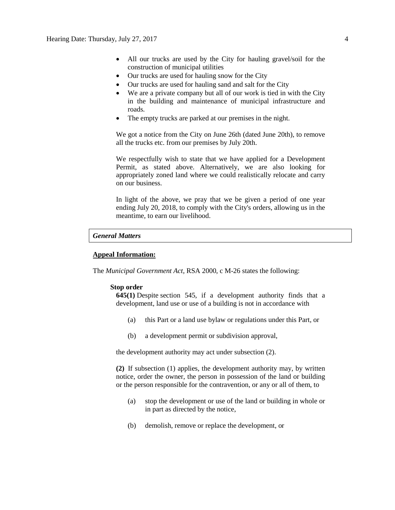- All our trucks are used by the City for hauling gravel/soil for the construction of municipal utilities
- Our trucks are used for hauling snow for the City
- Our trucks are used for hauling sand and salt for the City
- We are a private company but all of our work is tied in with the City in the building and maintenance of municipal infrastructure and roads.
- The empty trucks are parked at our premises in the night.

We got a notice from the City on June 26th (dated June 20th), to remove all the trucks etc. from our premises by July 20th.

We respectfully wish to state that we have applied for a Development Permit, as stated above. Alternatively, we are also looking for appropriately zoned land where we could realistically relocate and carry on our business.

In light of the above, we pray that we be given a period of one year ending July 20, 2018, to comply with the City's orders, allowing us in the meantime, to earn our livelihood.

#### *General Matters*

### **Appeal Information:**

The *Municipal Government Act*, RSA 2000, c M-26 states the following:

#### **Stop order**

**645(1)** Despite [section 545,](https://www.canlii.org/en/ab/laws/stat/rsa-2000-c-m-26/latest/rsa-2000-c-m-26.html%23sec545_smooth) if a development authority finds that a development, land use or use of a building is not in accordance with

- (a) this Part or a land use bylaw or regulations under this Part, or
- (b) a development permit or subdivision approval,

the development authority may act under subsection (2).

**(2)** If subsection (1) applies, the development authority may, by written notice, order the owner, the person in possession of the land or building or the person responsible for the contravention, or any or all of them, to

- (a) stop the development or use of the land or building in whole or in part as directed by the notice,
- (b) demolish, remove or replace the development, or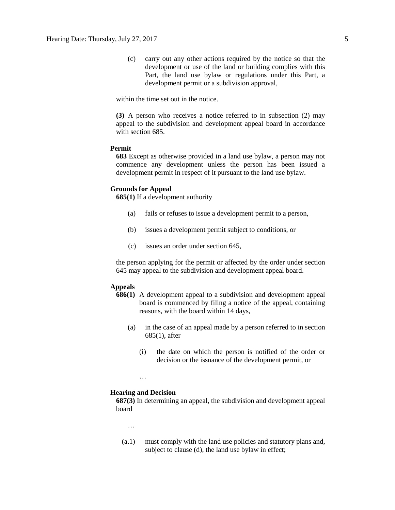(c) carry out any other actions required by the notice so that the development or use of the land or building complies with this Part, the land use bylaw or regulations under this Part, a development permit or a subdivision approval,

within the time set out in the notice.

**(3)** A person who receives a notice referred to in subsection (2) may appeal to the subdivision and development appeal board in accordance with [section 685.](https://www.canlii.org/en/ab/laws/stat/rsa-2000-c-m-26/latest/rsa-2000-c-m-26.html%23sec685_smooth)

## **Permit**

**683** Except as otherwise provided in a land use bylaw, a person may not commence any development unless the person has been issued a development permit in respect of it pursuant to the land use bylaw.

#### **Grounds for Appeal**

**685(1)** If a development authority

- (a) fails or refuses to issue a development permit to a person,
- (b) issues a development permit subject to conditions, or
- (c) issues an order under section 645,

the person applying for the permit or affected by the order under section 645 may appeal to the subdivision and development appeal board.

### **Appeals**

- **686(1)** A development appeal to a subdivision and development appeal board is commenced by filing a notice of the appeal, containing reasons, with the board within 14 days,
	- (a) in the case of an appeal made by a person referred to in section 685(1), after
		- (i) the date on which the person is notified of the order or decision or the issuance of the development permit, or

#### …

#### **Hearing and Decision**

**687(3)** In determining an appeal, the subdivision and development appeal board

…

(a.1) must comply with the land use policies and statutory plans and, subject to clause (d), the land use bylaw in effect;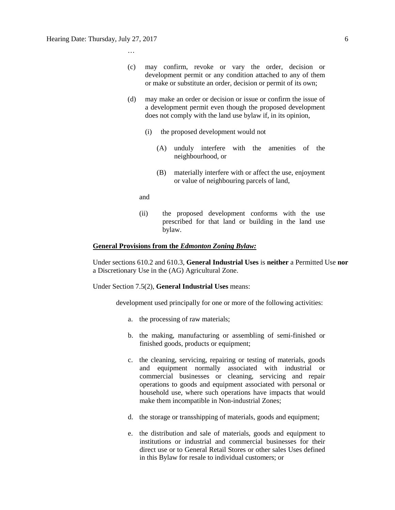…

- (c) may confirm, revoke or vary the order, decision or development permit or any condition attached to any of them or make or substitute an order, decision or permit of its own;
- (d) may make an order or decision or issue or confirm the issue of a development permit even though the proposed development does not comply with the land use bylaw if, in its opinion,
	- (i) the proposed development would not
		- (A) unduly interfere with the amenities of the neighbourhood, or
		- (B) materially interfere with or affect the use, enjoyment or value of neighbouring parcels of land,

and

(ii) the proposed development conforms with the use prescribed for that land or building in the land use bylaw.

#### **General Provisions from the** *Edmonton Zoning Bylaw:*

Under sections 610.2 and 610.3, **General Industrial Uses** is **neither** a Permitted Use **nor**  a Discretionary Use in the (AG) Agricultural Zone.

Under Section 7.5(2), **General Industrial Uses** means:

development used principally for one or more of the following activities:

- a. the processing of raw materials;
- b. the making, manufacturing or assembling of semi-finished or finished goods, products or equipment;
- c. the cleaning, servicing, repairing or testing of materials, goods and equipment normally associated with industrial or commercial businesses or cleaning, servicing and repair operations to goods and equipment associated with personal or household use, where such operations have impacts that would make them incompatible in Non-industrial Zones;
- d. the storage or transshipping of materials, goods and equipment;
- e. the distribution and sale of materials, goods and equipment to institutions or industrial and commercial businesses for their direct use or to General Retail Stores or other sales Uses defined in this Bylaw for resale to individual customers; or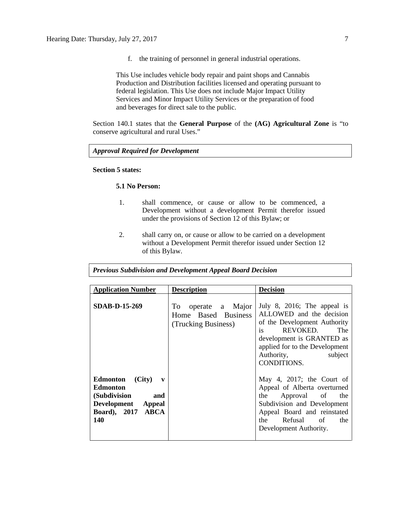f. the training of personnel in general industrial operations.

This Use includes vehicle body repair and paint shops and Cannabis Production and Distribution facilities licensed and operating pursuant to federal legislation. This Use does not include Major Impact Utility Services and Minor Impact Utility Services or the preparation of food and beverages for direct sale to the public.

Section 140.1 states that the **General Purpose** of the **(AG) Agricultural Zone** is "to conserve agricultural and rural Uses."

*Approval Required for Development*

## **Section 5 states:**

## **5.1 No Person:**

- 1. shall commence, or cause or allow to be commenced, a Development without a development Permit therefor issued under the provisions of Section 12 of this Bylaw; or
- 2. shall carry on, or cause or allow to be carried on a development without a Development Permit therefor issued under Section 12 of this Bylaw.

| <b>Application Number</b>                                                                                                      | <b>Description</b>                                                  | <b>Decision</b>                                                                                                                                                                                                                |
|--------------------------------------------------------------------------------------------------------------------------------|---------------------------------------------------------------------|--------------------------------------------------------------------------------------------------------------------------------------------------------------------------------------------------------------------------------|
| <b>SDAB-D-15-269</b>                                                                                                           | operate a Major<br>To<br>Home Based Business<br>(Trucking Business) | July 8, 2016; The appeal is<br>ALLOWED and the decision<br>of the Development Authority<br><i>is</i><br>REVOKED.<br>The<br>development is GRANTED as<br>applied for to the Development<br>Authority,<br>subject<br>CONDITIONS. |
| Edmonton<br>(City)<br>$\mathbf{v}$<br><b>Edmonton</b><br>(Subdivision<br>and<br>Development Appeal<br>Board), 2017 ABCA<br>140 |                                                                     | May 4, 2017; the Court of<br>Appeal of Alberta overturned<br>Approval of<br>the<br>the<br>Subdivision and Development<br>Appeal Board and reinstated<br>Refusal of<br>the<br>the<br>Development Authority.                     |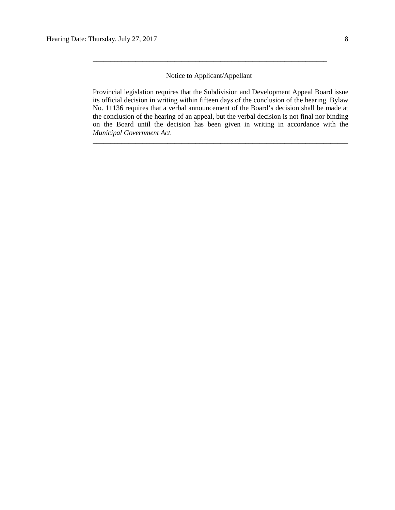## Notice to Applicant/Appellant

\_\_\_\_\_\_\_\_\_\_\_\_\_\_\_\_\_\_\_\_\_\_\_\_\_\_\_\_\_\_\_\_\_\_\_\_\_\_\_\_\_\_\_\_\_\_\_\_\_\_\_\_\_\_\_\_\_\_\_\_\_\_\_\_\_\_

Provincial legislation requires that the Subdivision and Development Appeal Board issue its official decision in writing within fifteen days of the conclusion of the hearing. Bylaw No. 11136 requires that a verbal announcement of the Board's decision shall be made at the conclusion of the hearing of an appeal, but the verbal decision is not final nor binding on the Board until the decision has been given in writing in accordance with the *Municipal Government Act.*

\_\_\_\_\_\_\_\_\_\_\_\_\_\_\_\_\_\_\_\_\_\_\_\_\_\_\_\_\_\_\_\_\_\_\_\_\_\_\_\_\_\_\_\_\_\_\_\_\_\_\_\_\_\_\_\_\_\_\_\_\_\_\_\_\_\_\_\_\_\_\_\_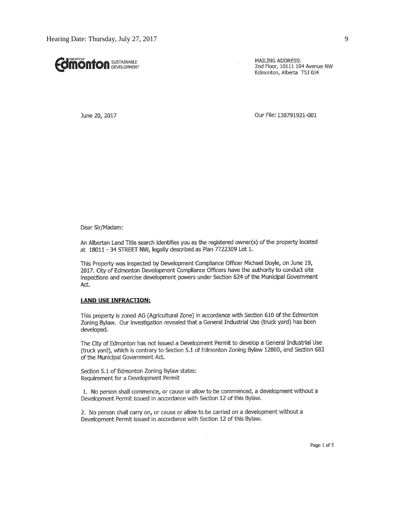

MAILING ADDRESS: 2nd Floor, 10111 104 Avenue NW Edmonton, Alberta T5J 0J4

June 20, 2017

Our File: 138791921-001

Dear Sir/Madam:

An Albertan Land Title search identifies you as the registered owner(s) of the property located at 18011 - 34 STREET NW, legally described as Plan 7722309 Lot 1.

This Property was inspected by Development Compliance Officer Michael Doyle, on June 19, 2017. City of Edmonton Development Compliance Officers have the authority to conduct site inspections and exercise development powers under Section 624 of the Municipal Government Act.

#### **LAND USE INFRACTION:**

This property is zoned AG (Agricultural Zone) in accordance with Section 610 of the Edmonton Zoning Bylaw. Our investigation revealed that a General Industrial Use (truck yard) has been developed.

The City of Edmonton has not issued a Development Permit to develop a General Industrial Use (truck yard), which is contrary to Section 5.1 of Edmonton Zoning Bylaw 12800, and Section 683 of the Municipal Government Act.

Section 5.1 of Edmonton Zoning Bylaw states: Requirement for a Development Permit

1. No person shall commence, or cause or allow to be commenced, a development without a Development Permit issued in accordance with Section 12 of this Bylaw.

 $\cdot$ 

2. No person shall carry on, or cause or allow to be carried on a development without a Development Permit issued in accordance with Section 12 of this Bylaw.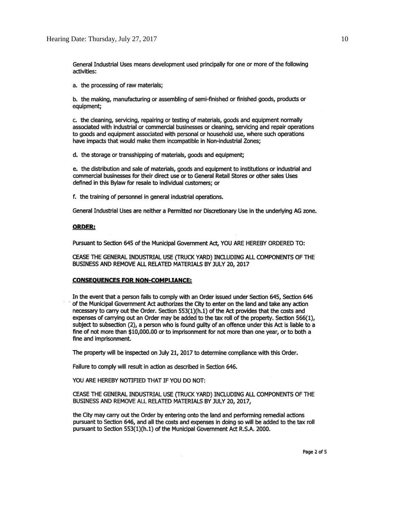General Industrial Uses means development used principally for one or more of the following activities:

a. the processing of raw materials;

b. the making, manufacturing or assembling of semi-finished or finished goods, products or equipment;

c. the cleaning, servicing, repairing or testing of materials, goods and equipment normally associated with industrial or commercial businesses or cleaning, servicing and repair operations to goods and equipment associated with personal or household use, where such operations have impacts that would make them incompatible in Non-industrial Zones;

d. the storage or transshipping of materials, goods and equipment;

e. the distribution and sale of materials, goods and equipment to institutions or industrial and commercial businesses for their direct use or to General Retail Stores or other sales Uses defined in this Bylaw for resale to individual customers; or

f. the training of personnel in general industrial operations.

General Industrial Uses are neither a Permitted nor Discretionary Use in the underlying AG zone.

#### **ORDER:**

Pursuant to Section 645 of the Municipal Government Act, YOU ARE HEREBY ORDERED TO:

CEASE THE GENERAL INDUSTRIAL USE (TRUCK YARD) INCLUDING ALL COMPONENTS OF THE BUSINESS AND REMOVE ALL RELATED MATERIALS BY JULY 20, 2017

#### **CONSEQUENCES FOR NON-COMPLIANCE:**

In the event that a person fails to comply with an Order issued under Section 645, Section 646 of the Municipal Government Act authorizes the City to enter on the land and take any action necessary to carry out the Order. Section 553(1)(h.1) of the Act provides that the costs and expenses of carrying out an Order may be added to the tax roll of the property. Section 566(1), subject to subsection (2), a person who is found quilty of an offence under this Act is liable to a fine of not more than \$10,000.00 or to imprisonment for not more than one year, or to both a fine and imprisonment.

The property will be inspected on July 21, 2017 to determine compliance with this Order.

Failure to comply will result in action as described in Section 646.

YOU ARE HEREBY NOTIFIED THAT IF YOU DO NOT:

CEASE THE GENERAL INDUSTRIAL USE (TRUCK YARD) INCLUDING ALL COMPONENTS OF THE BUSINESS AND REMOVE ALL RELATED MATERIALS BY JULY 20, 2017,

the City may carry out the Order by entering onto the land and performing remedial actions pursuant to Section 646, and all the costs and expenses in doing so will be added to the tax roll pursuant to Section 553(1)(h.1) of the Municipal Government Act R.S.A. 2000.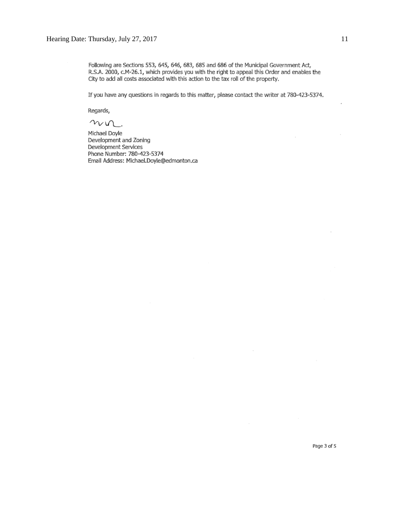Following are Sections 553, 645, 646, 683, 685 and 686 of the Municipal Government Act, R.S.A. 2000, c.M-26.1, which provides you with the right to appeal this Order and enables the City to add all costs associated with this action to the tax roll of the property.

If you have any questions in regards to this matter, please contact the writer at 780-423-5374.

Regards,

 $n$ n

Michael Doyle Development and Zoning Development Services Phone Number: 780-423-5374 Email Address: Michael.Doyle@edmonton.ca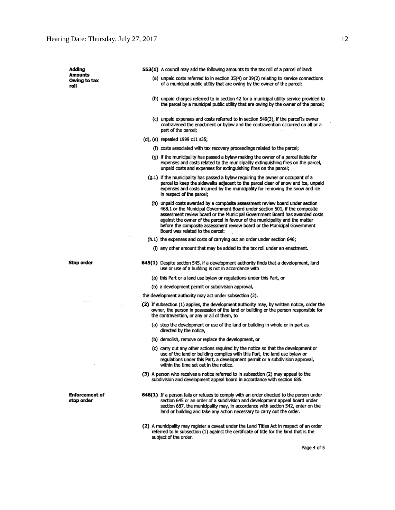| Adding                              | 553(1) A council may add the following amounts to the tax roll of a parcel of land:                                                                                                                                                                                                                                                                                                                                                         |
|-------------------------------------|---------------------------------------------------------------------------------------------------------------------------------------------------------------------------------------------------------------------------------------------------------------------------------------------------------------------------------------------------------------------------------------------------------------------------------------------|
| Amounts<br>Owing to tax<br>roll     | (a) unpaid costs referred to in section 35(4) or 39(2) relating to service connections<br>of a municipal public utility that are owing by the owner of the parcel;                                                                                                                                                                                                                                                                          |
|                                     | (b) unpaid charges referred to in section 42 for a municipal utility service provided to<br>the parcel by a municipal public utility that are owing by the owner of the parcel;                                                                                                                                                                                                                                                             |
|                                     | (c) unpaid expenses and costs referred to in section 549(3), if the parcel?s owner<br>contravened the enactment or bylaw and the contravention occurred on all or a<br>part of the parcel;                                                                                                                                                                                                                                                  |
|                                     | (d), (e) repealed 1999 c11 s35;                                                                                                                                                                                                                                                                                                                                                                                                             |
|                                     | (f) costs associated with tax recovery proceedings related to the parcel;                                                                                                                                                                                                                                                                                                                                                                   |
|                                     | (g) if the municipality has passed a bylaw making the owner of a parcel liable for<br>expenses and costs related to the municipality extinguishing fires on the parcel,<br>unpaid costs and expenses for extinguishing fires on the parcel;                                                                                                                                                                                                 |
|                                     | (g.1) if the municipality has passed a bylaw requiring the owner or occupant of a<br>parcel to keep the sidewalks adjacent to the parcel clear of snow and ice, unpaid<br>expenses and costs incurred by the municipality for removing the snow and ice<br>in respect of the parcel;                                                                                                                                                        |
|                                     | (h) unpaid costs awarded by a composite assessment review board under section<br>468.1 or the Municipal Government Board under section 501, if the composite<br>assessment review board or the Municipal Government Board has awarded costs<br>against the owner of the parcel in favour of the municipality and the matter<br>before the composite assessment review board or the Municipal Government<br>Board was related to the parcel: |
|                                     | (h.1) the expenses and costs of carrying out an order under section 646;                                                                                                                                                                                                                                                                                                                                                                    |
|                                     | (i) any other amount that may be added to the tax roll under an enactment.                                                                                                                                                                                                                                                                                                                                                                  |
| Stop order                          | 645(1) Despite section 545, if a development authority finds that a development, land<br>use or use of a building is not in accordance with                                                                                                                                                                                                                                                                                                 |
|                                     | (a) this Part or a land use bylaw or regulations under this Part, or                                                                                                                                                                                                                                                                                                                                                                        |
|                                     | (b) a development permit or subdivision approval,                                                                                                                                                                                                                                                                                                                                                                                           |
|                                     | the development authority may act under subsection (2).                                                                                                                                                                                                                                                                                                                                                                                     |
|                                     | (2) If subsection (1) applies, the development authority may, by written notice, order the<br>owner, the person in possession of the land or building or the person responsible for<br>the contravention, or any or all of them, to                                                                                                                                                                                                         |
|                                     | (a) stop the development or use of the land or building in whole or in part as<br>directed by the notice,                                                                                                                                                                                                                                                                                                                                   |
|                                     | (b) demolish, remove or replace the development, or                                                                                                                                                                                                                                                                                                                                                                                         |
|                                     | (c) carry out any other actions required by the notice so that the development or<br>use of the land or building complies with this Part, the land use bylaw or<br>regulations under this Part, a development permit or a subdivision approval,<br>within the time set out in the notice.                                                                                                                                                   |
|                                     | (3) A person who receives a notice referred to in subsection (2) may appeal to the<br>subdivision and development appeal board in accordance with section 685.                                                                                                                                                                                                                                                                              |
| <b>Enforcement of</b><br>stop order | 646(1) If a person fails or refuses to comply with an order directed to the person under<br>section 645 or an order of a subdivision and development appeal board under<br>section 687, the municipality may, in accordance with section 542, enter on the<br>land or building and take any action necessary to carry out the order.                                                                                                        |
|                                     | (2) A municipality may register a caveat under the Land Titles Act in respect of an order<br>referred to in subsection (1) against the certificate of title for the land that is the<br>subject of the order.                                                                                                                                                                                                                               |

Page 4 of 5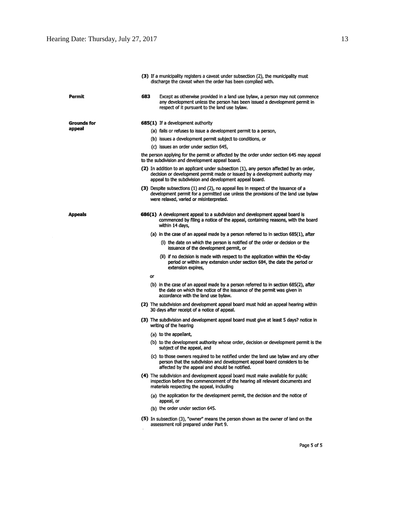|                | (3) If a municipality registers a caveat under subsection (2), the municipality must<br>discharge the caveat when the order has been complied with.                                                                               |
|----------------|-----------------------------------------------------------------------------------------------------------------------------------------------------------------------------------------------------------------------------------|
| Permit         | 683<br>Except as otherwise provided in a land use bylaw, a person may not commence<br>any development unless the person has been issued a development permit in<br>respect of it pursuant to the land use bylaw.                  |
| Grounds for    | 685(1) If a development authority                                                                                                                                                                                                 |
| appeal         | (a) fails or refuses to issue a development permit to a person,                                                                                                                                                                   |
|                | (b) issues a development permit subject to conditions, or                                                                                                                                                                         |
|                | (c) issues an order under section 645,                                                                                                                                                                                            |
|                | the person applying for the permit or affected by the order under section 645 may appeal<br>to the subdivision and development appeal board.                                                                                      |
|                | (2) In addition to an applicant under subsection (1), any person affected by an order,<br>decision or development permit made or issued by a development authority may<br>appeal to the subdivision and development appeal board. |
|                | (3) Despite subsections (1) and (2), no appeal lies in respect of the issuance of a<br>development permit for a permitted use unless the provisions of the land use bylaw<br>were relaxed, varied or misinterpreted.              |
| <b>Appeals</b> | 686(1) A development appeal to a subdivision and development appeal board is<br>commenced by filing a notice of the appeal, containing reasons, with the board<br>within 14 days,                                                 |
|                | (a) in the case of an appeal made by a person referred to in section 685(1), after                                                                                                                                                |
|                | (i) the date on which the person is notified of the order or decision or the<br>issuance of the development permit, or                                                                                                            |
|                | (ii) if no decision is made with respect to the application within the 40-day<br>period or within any extension under section 684, the date the period or<br>extension expires,                                                   |
|                | or                                                                                                                                                                                                                                |
|                | (b) in the case of an appeal made by a person referred to in section 685(2), after<br>the date on which the notice of the issuance of the permit was given in<br>accordance with the land use bylaw.                              |
|                | (2) The subdivision and development appeal board must hold an appeal hearing within<br>30 days after receipt of a notice of appeal.                                                                                               |
|                | (3) The subdivision and development appeal board must give at least 5 days? notice in<br>writing of the hearing                                                                                                                   |
|                | (a) to the appellant,                                                                                                                                                                                                             |
|                | (b) to the development authority whose order, decision or development permit is the<br>subject of the appeal, and                                                                                                                 |
|                | (c) to those owners required to be notified under the land use bylaw and any other<br>person that the subdivision and development appeal board considers to be<br>affected by the appeal and should be notified.                  |
|                | (4) The subdivision and development appeal board must make available for public<br>inspection before the commencement of the hearing all relevant documents and<br>materials respecting the appeal, including                     |
|                | (a) the application for the development permit, the decision and the notice of<br>appeal, or                                                                                                                                      |
|                | (b) the order under section 645.                                                                                                                                                                                                  |
|                |                                                                                                                                                                                                                                   |

Page 5 of 5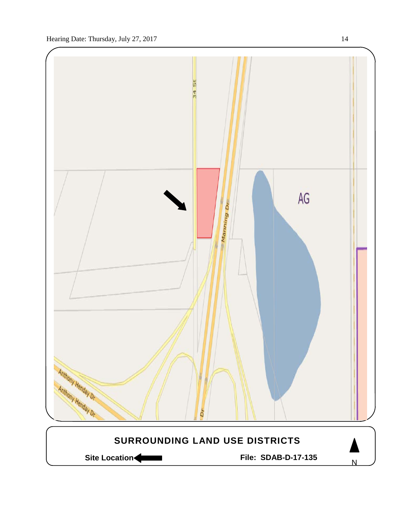

Site Location **Community Contracts** File: SDAB-D-17-135

N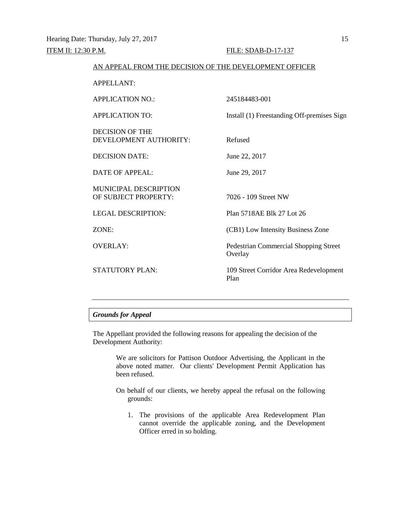#### AN APPEAL FROM THE DECISION OF THE DEVELOPMENT OFFICER

APPELLANT:

| <b>APPLICATION NO.:</b>                              | 245184483-001                                           |
|------------------------------------------------------|---------------------------------------------------------|
| <b>APPLICATION TO:</b>                               | Install (1) Freestanding Off-premises Sign              |
| <b>DECISION OF THE</b><br>DEVELOPMENT AUTHORITY:     | Refused                                                 |
| <b>DECISION DATE:</b>                                | June 22, 2017                                           |
| <b>DATE OF APPEAL:</b>                               | June 29, 2017                                           |
| <b>MUNICIPAL DESCRIPTION</b><br>OF SUBJECT PROPERTY: | 7026 - 109 Street NW                                    |
| <b>LEGAL DESCRIPTION:</b>                            | Plan 5718AE Blk 27 Lot 26                               |
| ZONE:                                                | (CB1) Low Intensity Business Zone                       |
| <b>OVERLAY:</b>                                      | <b>Pedestrian Commercial Shopping Street</b><br>Overlay |
| <b>STATUTORY PLAN:</b>                               | 109 Street Corridor Area Redevelopment<br>Plan          |
|                                                      |                                                         |

## *Grounds for Appeal*

The Appellant provided the following reasons for appealing the decision of the Development Authority:

> We are solicitors for Pattison Outdoor Advertising, the Applicant in the above noted matter. Our clients' Development Permit Application has been refused.

- On behalf of our clients, we hereby appeal the refusal on the following grounds:
	- 1. The provisions of the applicable Area Redevelopment Plan cannot override the applicable zoning, and the Development Officer erred in so holding.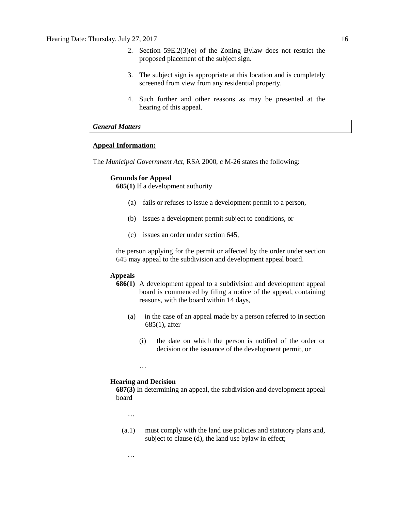- 2. Section 59E.2(3)(e) of the Zoning Bylaw does not restrict the proposed placement of the subject sign.
- 3. The subject sign is appropriate at this location and is completely screened from view from any residential property.
- 4. Such further and other reasons as may be presented at the hearing of this appeal.

### *General Matters*

## **Appeal Information:**

The *Municipal Government Act*, RSA 2000, c M-26 states the following:

## **Grounds for Appeal**

**685(1)** If a development authority

- (a) fails or refuses to issue a development permit to a person,
- (b) issues a development permit subject to conditions, or
- (c) issues an order under section 645,

the person applying for the permit or affected by the order under section 645 may appeal to the subdivision and development appeal board.

## **Appeals**

- **686(1)** A development appeal to a subdivision and development appeal board is commenced by filing a notice of the appeal, containing reasons, with the board within 14 days,
	- (a) in the case of an appeal made by a person referred to in section 685(1), after
		- (i) the date on which the person is notified of the order or decision or the issuance of the development permit, or

#### **Hearing and Decision**

…

**687(3)** In determining an appeal, the subdivision and development appeal board

…

…

(a.1) must comply with the land use policies and statutory plans and, subject to clause (d), the land use bylaw in effect;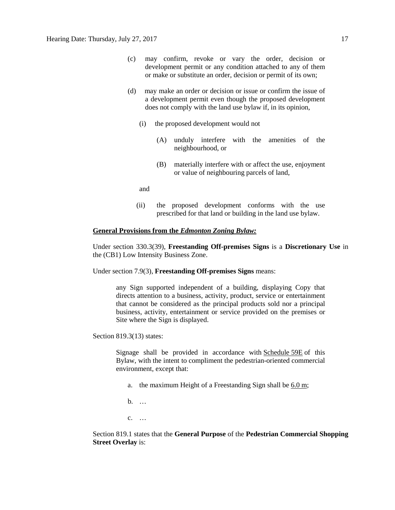- (c) may confirm, revoke or vary the order, decision or development permit or any condition attached to any of them or make or substitute an order, decision or permit of its own;
- (d) may make an order or decision or issue or confirm the issue of a development permit even though the proposed development does not comply with the land use bylaw if, in its opinion,
	- (i) the proposed development would not
		- (A) unduly interfere with the amenities of the neighbourhood, or
		- (B) materially interfere with or affect the use, enjoyment or value of neighbouring parcels of land,

and

(ii) the proposed development conforms with the use prescribed for that land or building in the land use bylaw.

## **General Provisions from the** *Edmonton Zoning Bylaw:*

Under section 330.3(39), **Freestanding Off-premises Signs** is a **Discretionary Use** in the (CB1) Low Intensity Business Zone.

Under section 7.9(3), **Freestanding Off-premises Signs** means:

any Sign supported independent of a building, displaying Copy that directs attention to a business, activity, product, service or entertainment that cannot be considered as the principal products sold nor a principal business, activity, entertainment or service provided on the premises or Site where the Sign is displayed.

Section 819.3(13) states:

Signage shall be provided in accordance with [Schedule](http://webdocs.edmonton.ca/InfraPlan/zoningbylaw/ZoningBylaw/Schedule/Schedule_59E.htm) 59E of this Bylaw, with the intent to compliment the pedestrian-oriented commercial environment, except that:

- a. the maximum Height of a Freestanding Sign shall be  $6.0 \text{ m}$  $6.0 \text{ m}$ ;
- b. …

c. …

Section 819.1 states that the **General Purpose** of the **Pedestrian Commercial Shopping Street Overlay is:**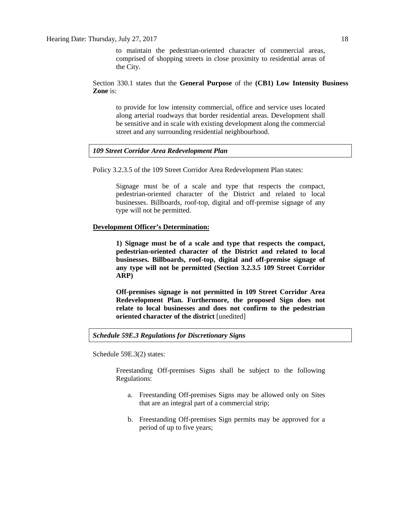to maintain the pedestrian-oriented character of commercial areas, comprised of shopping streets in close proximity to residential areas of the City.

Section 330.1 states that the **General Purpose** of the **(CB1) Low Intensity Business Zone** is:

to provide for low intensity commercial, office and service uses located along arterial roadways that border residential areas. Development shall be sensitive and in scale with existing development along the commercial street and any surrounding residential neighbourhood.

## *109 Street Corridor Area Redevelopment Plan*

Policy 3.2.3.5 of the 109 Street Corridor Area Redevelopment Plan states:

Signage must be of a scale and type that respects the compact, pedestrian-oriented character of the District and related to local businesses. Billboards, roof-top, digital and off-premise signage of any type will not be permitted.

## **Development Officer's Determination:**

**1) Signage must be of a scale and type that respects the compact, pedestrian-oriented character of the District and related to local businesses. Billboards, roof-top, digital and off-premise signage of any type will not be permitted (Section 3.2.3.5 109 Street Corridor ARP)**

**Off-premises signage is not permitted in 109 Street Corridor Area Redevelopment Plan. Furthermore, the proposed Sign does not relate to local businesses and does not confirm to the pedestrian oriented character of the district** [unedited]

#### *Schedule 59E.3 Regulations for Discretionary Signs*

Schedule 59E.3(2) states:

Freestanding Off-premises Signs shall be subject to the following Regulations:

- a. Freestanding Off-premises Signs may be allowed only on Sites that are an integral part of a commercial strip;
- b. Freestanding Off-premises Sign permits may be approved for a period of up to five years;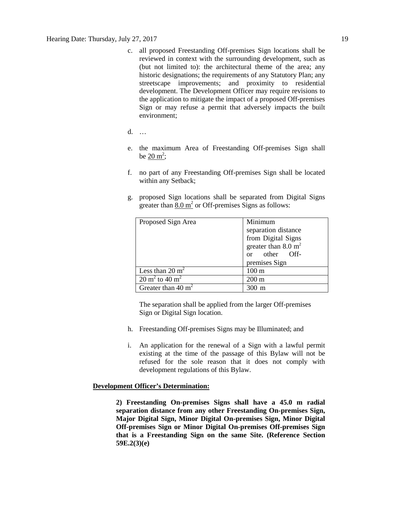- c. all proposed Freestanding Off-premises Sign locations shall be reviewed in context with the surrounding development, such as (but not limited to): the architectural theme of the area; any historic designations; the requirements of any Statutory Plan; any streetscape improvements; and proximity to residential development. The Development Officer may require revisions to the application to mitigate the impact of a proposed Off-premises Sign or may refuse a permit that adversely impacts the built environment;
- d. …
- e. the maximum Area of Freestanding Off-premises Sign shall be  $20 \text{ m}^2$ ;
- f. no part of any Freestanding Off-premises Sign shall be located within any Setback;
- g. proposed Sign locations shall be separated from Digital Signs greater than  $8.0 \text{ m}^2$  or Off-premises Signs as follows:

| Proposed Sign Area                   | Minimum                        |  |
|--------------------------------------|--------------------------------|--|
|                                      | separation distance            |  |
|                                      | from Digital Signs             |  |
|                                      | greater than $8.0 \text{ m}^2$ |  |
|                                      | or other Off-                  |  |
|                                      | premises Sign                  |  |
| Less than $20 \text{ m}^2$           | $100 \text{ m}$                |  |
| $20 \text{ m}^2$ to $40 \text{ m}^2$ | $200 \text{ m}$                |  |
| Greater than 40 $m2$                 | m                              |  |

The separation shall be applied from the larger Off-premises Sign or Digital Sign location.

- h. Freestanding Off-premises Signs may be Illuminated; and
- i. An application for the renewal of a Sign with a lawful permit existing at the time of the passage of this Bylaw will not be refused for the sole reason that it does not comply with development regulations of this Bylaw.

#### **Development Officer's Determination:**

**2) Freestanding On-premises Signs shall have a 45.0 m radial separation distance from any other Freestanding On-premises Sign, Major Digital Sign, Minor Digital On-premises Sign, Minor Digital Off-premises Sign or Minor Digital On-premises Off-premises Sign that is a Freestanding Sign on the same Site. (Reference Section 59E.2(3)(e)**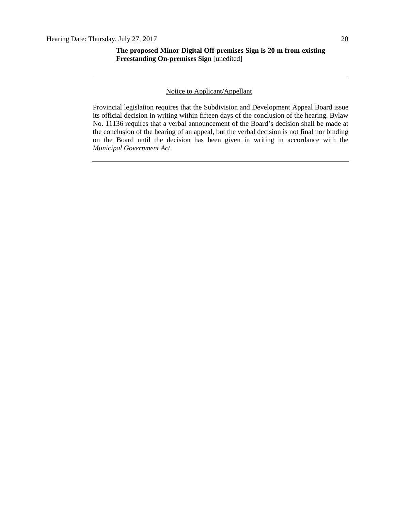### Notice to Applicant/Appellant

Provincial legislation requires that the Subdivision and Development Appeal Board issue its official decision in writing within fifteen days of the conclusion of the hearing. Bylaw No. 11136 requires that a verbal announcement of the Board's decision shall be made at the conclusion of the hearing of an appeal, but the verbal decision is not final nor binding on the Board until the decision has been given in writing in accordance with the *Municipal Government Act*.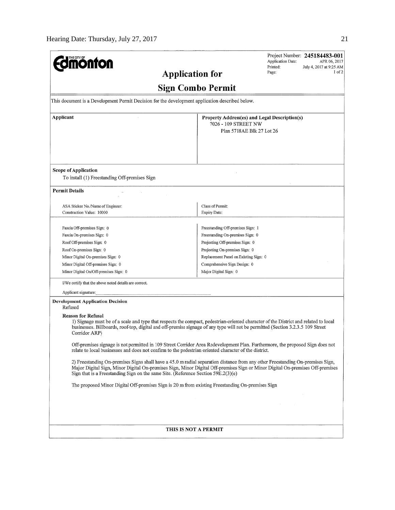| <b>nonfon</b>                                                                                                                                                                                                                                                                                                                                        |                                               | Project Number: 245184483-001<br>Application Date:<br>APR 06, 2017<br>Printed:<br>July 4, 2017 at 9:25 AM |  |  |  |
|------------------------------------------------------------------------------------------------------------------------------------------------------------------------------------------------------------------------------------------------------------------------------------------------------------------------------------------------------|-----------------------------------------------|-----------------------------------------------------------------------------------------------------------|--|--|--|
| <b>Application for</b>                                                                                                                                                                                                                                                                                                                               | 1 of 2<br>Page:                               |                                                                                                           |  |  |  |
|                                                                                                                                                                                                                                                                                                                                                      | <b>Sign Combo Permit</b>                      |                                                                                                           |  |  |  |
| This document is a Development Permit Decision for the development application described below.                                                                                                                                                                                                                                                      |                                               |                                                                                                           |  |  |  |
| Applicant                                                                                                                                                                                                                                                                                                                                            | Property Address(es) and Legal Description(s) |                                                                                                           |  |  |  |
|                                                                                                                                                                                                                                                                                                                                                      | 7026 - 109 STREET NW                          |                                                                                                           |  |  |  |
|                                                                                                                                                                                                                                                                                                                                                      | Plan 5718AE Blk 27 Lot 26                     |                                                                                                           |  |  |  |
|                                                                                                                                                                                                                                                                                                                                                      |                                               |                                                                                                           |  |  |  |
|                                                                                                                                                                                                                                                                                                                                                      |                                               |                                                                                                           |  |  |  |
|                                                                                                                                                                                                                                                                                                                                                      |                                               |                                                                                                           |  |  |  |
| <b>Scope of Application</b>                                                                                                                                                                                                                                                                                                                          |                                               |                                                                                                           |  |  |  |
| To install (1) Freestanding Off-premises Sign                                                                                                                                                                                                                                                                                                        |                                               |                                                                                                           |  |  |  |
| <b>Permit Details</b>                                                                                                                                                                                                                                                                                                                                |                                               |                                                                                                           |  |  |  |
|                                                                                                                                                                                                                                                                                                                                                      |                                               |                                                                                                           |  |  |  |
| ASA Sticker No./Name of Engineer:                                                                                                                                                                                                                                                                                                                    | Class of Permit:                              |                                                                                                           |  |  |  |
| Construction Value: 10000                                                                                                                                                                                                                                                                                                                            | <b>Expiry Date:</b>                           |                                                                                                           |  |  |  |
| Fascia Off-premises Sign: 0                                                                                                                                                                                                                                                                                                                          | Freestanding Off-premises Sign: 1             |                                                                                                           |  |  |  |
| Fascia On-premises Sign: 0                                                                                                                                                                                                                                                                                                                           | Freestanding On-premises Sign: 0              |                                                                                                           |  |  |  |
| Roof Off-premises Sign: 0                                                                                                                                                                                                                                                                                                                            | Projecting Off-premises Sign: 0               |                                                                                                           |  |  |  |
| Roof On-premises Sign: 0                                                                                                                                                                                                                                                                                                                             | Projecting On-premises Sign: 0                |                                                                                                           |  |  |  |
| Minor Digital On-premises Sign: 0                                                                                                                                                                                                                                                                                                                    | Replacement Panel on Existing Sign: 0         |                                                                                                           |  |  |  |
| Minor Digital Off-premises Sign: 0                                                                                                                                                                                                                                                                                                                   | Comprehensive Sign Design: 0                  |                                                                                                           |  |  |  |
| Minor Digital On/Off-premises Sign: 0                                                                                                                                                                                                                                                                                                                | Major Digital Sign: 0                         |                                                                                                           |  |  |  |
| I/We certify that the above noted details are correct.                                                                                                                                                                                                                                                                                               |                                               |                                                                                                           |  |  |  |
| Applicant signature:                                                                                                                                                                                                                                                                                                                                 |                                               |                                                                                                           |  |  |  |
| <b>Development Application Decision</b><br>Refused                                                                                                                                                                                                                                                                                                   |                                               |                                                                                                           |  |  |  |
| <b>Reason for Refusal</b>                                                                                                                                                                                                                                                                                                                            |                                               |                                                                                                           |  |  |  |
| 1) Signage must be of a scale and type that respects the compact, pedestrian-oriented character of the District and related to local<br>businesses. Billboards, roof-top, digital and off-premise signage of any type will not be permitted (Section 3.2.3.5 109 Street<br>Corridor ARP)                                                             |                                               |                                                                                                           |  |  |  |
| Off-premises signage is not permitted in 109 Street Corridor Area Redevelopment Plan. Furthermore, the proposed Sign does not<br>relate to local businesses and does not confirm to the pedestrian oriented character of the district.                                                                                                               |                                               |                                                                                                           |  |  |  |
| 2) Freestanding On-premises Signs shall have a 45.0 m radial separation distance from any other Freestanding On-premises Sign,<br>Major Digital Sign, Minor Digital On-premises Sign, Minor Digital Off-premises Sign or Minor Digital On-premises Off-premises<br>Sign that is a Freestanding Sign on the same Site. (Reference Section 59E.2(3)(e) |                                               |                                                                                                           |  |  |  |
| The proposed Minor Digital Off-premises Sign is 20 m from existing Freestanding On-premises Sign                                                                                                                                                                                                                                                     |                                               |                                                                                                           |  |  |  |
|                                                                                                                                                                                                                                                                                                                                                      |                                               |                                                                                                           |  |  |  |
|                                                                                                                                                                                                                                                                                                                                                      |                                               |                                                                                                           |  |  |  |
|                                                                                                                                                                                                                                                                                                                                                      |                                               |                                                                                                           |  |  |  |
|                                                                                                                                                                                                                                                                                                                                                      |                                               |                                                                                                           |  |  |  |
|                                                                                                                                                                                                                                                                                                                                                      | <b>THIS IS NOT A PERMIT</b>                   |                                                                                                           |  |  |  |
|                                                                                                                                                                                                                                                                                                                                                      |                                               |                                                                                                           |  |  |  |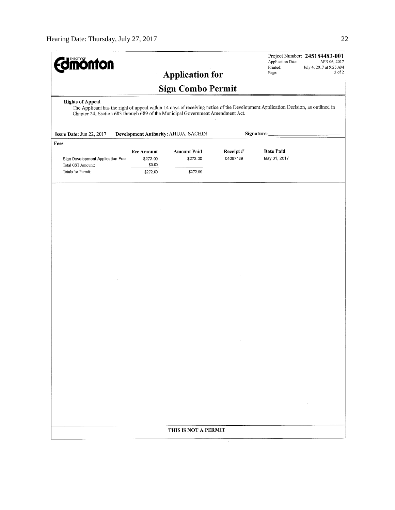| <b>Sign Combo Permit</b><br><b>Rights of Appeal</b><br>The Applicant has the right of appeal within 14 days of receiving notice of the Development Application Decision, as outlined in<br>Chapter 24, Section 683 through 689 of the Municipal Government Amendment Act.<br>Development Authority: AHUJA, SACHIN<br>Signature:<br>Issue Date: Jun 22, 2017<br>Fees<br>Date Paid<br><b>Amount Paid</b><br>Receipt#<br><b>Fee Amount</b><br>04087189<br>May 01, 2017<br>\$272.00<br>Sign Development Application Fee<br>\$272.00<br>\$0.00<br>Total GST Amount:<br>Totals for Permit:<br>\$272.00<br>\$272.00<br>THIS IS NOT A PERMIT | <b>monton</b> |  | <b>Application for</b> |  | Application Date:<br>Printed:<br>Page: | Project Number: 245184483-001<br>APR 06, 2017<br>July 4, 2017 at 9:25 AM<br>2 of 2 |  |  |
|--------------------------------------------------------------------------------------------------------------------------------------------------------------------------------------------------------------------------------------------------------------------------------------------------------------------------------------------------------------------------------------------------------------------------------------------------------------------------------------------------------------------------------------------------------------------------------------------------------------------------------------|---------------|--|------------------------|--|----------------------------------------|------------------------------------------------------------------------------------|--|--|
|                                                                                                                                                                                                                                                                                                                                                                                                                                                                                                                                                                                                                                      |               |  |                        |  |                                        |                                                                                    |  |  |
|                                                                                                                                                                                                                                                                                                                                                                                                                                                                                                                                                                                                                                      |               |  |                        |  |                                        |                                                                                    |  |  |
|                                                                                                                                                                                                                                                                                                                                                                                                                                                                                                                                                                                                                                      |               |  |                        |  |                                        |                                                                                    |  |  |
|                                                                                                                                                                                                                                                                                                                                                                                                                                                                                                                                                                                                                                      |               |  |                        |  |                                        |                                                                                    |  |  |
|                                                                                                                                                                                                                                                                                                                                                                                                                                                                                                                                                                                                                                      |               |  |                        |  |                                        |                                                                                    |  |  |
|                                                                                                                                                                                                                                                                                                                                                                                                                                                                                                                                                                                                                                      |               |  |                        |  |                                        |                                                                                    |  |  |
|                                                                                                                                                                                                                                                                                                                                                                                                                                                                                                                                                                                                                                      |               |  |                        |  |                                        |                                                                                    |  |  |
|                                                                                                                                                                                                                                                                                                                                                                                                                                                                                                                                                                                                                                      |               |  |                        |  |                                        |                                                                                    |  |  |
|                                                                                                                                                                                                                                                                                                                                                                                                                                                                                                                                                                                                                                      |               |  |                        |  |                                        |                                                                                    |  |  |
|                                                                                                                                                                                                                                                                                                                                                                                                                                                                                                                                                                                                                                      |               |  |                        |  |                                        |                                                                                    |  |  |
|                                                                                                                                                                                                                                                                                                                                                                                                                                                                                                                                                                                                                                      |               |  |                        |  |                                        |                                                                                    |  |  |
|                                                                                                                                                                                                                                                                                                                                                                                                                                                                                                                                                                                                                                      |               |  |                        |  |                                        |                                                                                    |  |  |
|                                                                                                                                                                                                                                                                                                                                                                                                                                                                                                                                                                                                                                      |               |  |                        |  |                                        |                                                                                    |  |  |
|                                                                                                                                                                                                                                                                                                                                                                                                                                                                                                                                                                                                                                      |               |  |                        |  |                                        |                                                                                    |  |  |